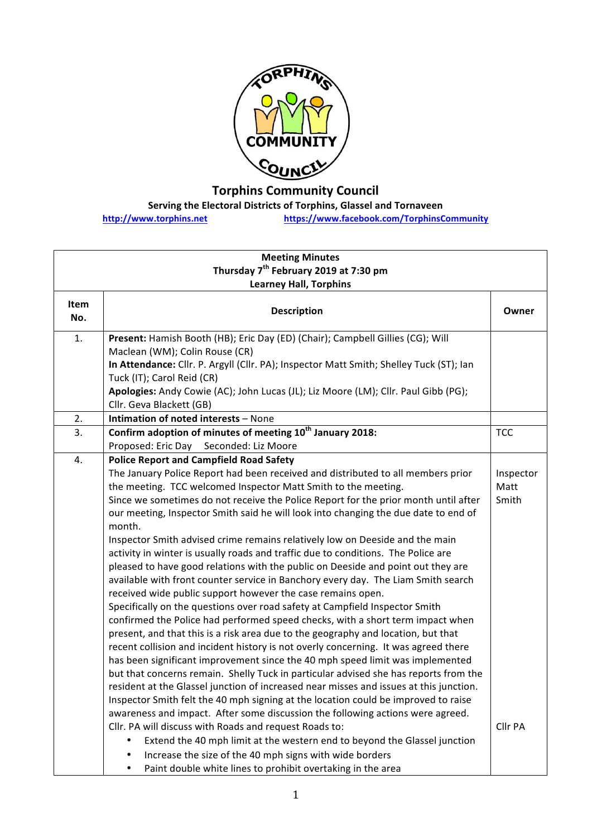

## **Torphins Community Council**

**Serving the Electoral Districts of Torphins, Glassel and Tornaveen** 

**http://www.torphins.net https://www.facebook.com/TorphinsCommunity**

|             | Thursday 7 <sup>th</sup> February 2019 at 7:30 pm<br><b>Learney Hall, Torphins</b>                                                                                                                                                                                                                                                                                                                                                                                                                                                                                                                                                                                                                                                                                                                                                                                                                                                                                                                                                                                                                                                                                                                                                                                                                                                                                                                                                                                                                                                                                                                                                                                                                                                                                                                       |                                       |
|-------------|----------------------------------------------------------------------------------------------------------------------------------------------------------------------------------------------------------------------------------------------------------------------------------------------------------------------------------------------------------------------------------------------------------------------------------------------------------------------------------------------------------------------------------------------------------------------------------------------------------------------------------------------------------------------------------------------------------------------------------------------------------------------------------------------------------------------------------------------------------------------------------------------------------------------------------------------------------------------------------------------------------------------------------------------------------------------------------------------------------------------------------------------------------------------------------------------------------------------------------------------------------------------------------------------------------------------------------------------------------------------------------------------------------------------------------------------------------------------------------------------------------------------------------------------------------------------------------------------------------------------------------------------------------------------------------------------------------------------------------------------------------------------------------------------------------|---------------------------------------|
|             |                                                                                                                                                                                                                                                                                                                                                                                                                                                                                                                                                                                                                                                                                                                                                                                                                                                                                                                                                                                                                                                                                                                                                                                                                                                                                                                                                                                                                                                                                                                                                                                                                                                                                                                                                                                                          |                                       |
|             |                                                                                                                                                                                                                                                                                                                                                                                                                                                                                                                                                                                                                                                                                                                                                                                                                                                                                                                                                                                                                                                                                                                                                                                                                                                                                                                                                                                                                                                                                                                                                                                                                                                                                                                                                                                                          |                                       |
| Item<br>No. | <b>Description</b>                                                                                                                                                                                                                                                                                                                                                                                                                                                                                                                                                                                                                                                                                                                                                                                                                                                                                                                                                                                                                                                                                                                                                                                                                                                                                                                                                                                                                                                                                                                                                                                                                                                                                                                                                                                       | Owner                                 |
| 1.          | Present: Hamish Booth (HB); Eric Day (ED) (Chair); Campbell Gillies (CG); Will<br>Maclean (WM); Colin Rouse (CR)<br>In Attendance: Cllr. P. Argyll (Cllr. PA); Inspector Matt Smith; Shelley Tuck (ST); Ian<br>Tuck (IT); Carol Reid (CR)<br>Apologies: Andy Cowie (AC); John Lucas (JL); Liz Moore (LM); Cllr. Paul Gibb (PG);<br>Cllr. Geva Blackett (GB)<br>Intimation of noted interests - None                                                                                                                                                                                                                                                                                                                                                                                                                                                                                                                                                                                                                                                                                                                                                                                                                                                                                                                                                                                                                                                                                                                                                                                                                                                                                                                                                                                                      |                                       |
| 2.<br>3.    | Confirm adoption of minutes of meeting 10 <sup>th</sup> January 2018:                                                                                                                                                                                                                                                                                                                                                                                                                                                                                                                                                                                                                                                                                                                                                                                                                                                                                                                                                                                                                                                                                                                                                                                                                                                                                                                                                                                                                                                                                                                                                                                                                                                                                                                                    | <b>TCC</b>                            |
|             | Proposed: Eric Day<br>Seconded: Liz Moore                                                                                                                                                                                                                                                                                                                                                                                                                                                                                                                                                                                                                                                                                                                                                                                                                                                                                                                                                                                                                                                                                                                                                                                                                                                                                                                                                                                                                                                                                                                                                                                                                                                                                                                                                                |                                       |
| 4.          | <b>Police Report and Campfield Road Safety</b><br>The January Police Report had been received and distributed to all members prior<br>the meeting. TCC welcomed Inspector Matt Smith to the meeting.<br>Since we sometimes do not receive the Police Report for the prior month until after<br>our meeting, Inspector Smith said he will look into changing the due date to end of<br>month.<br>Inspector Smith advised crime remains relatively low on Deeside and the main<br>activity in winter is usually roads and traffic due to conditions. The Police are<br>pleased to have good relations with the public on Deeside and point out they are<br>available with front counter service in Banchory every day. The Liam Smith search<br>received wide public support however the case remains open.<br>Specifically on the questions over road safety at Campfield Inspector Smith<br>confirmed the Police had performed speed checks, with a short term impact when<br>present, and that this is a risk area due to the geography and location, but that<br>recent collision and incident history is not overly concerning. It was agreed there<br>has been significant improvement since the 40 mph speed limit was implemented<br>but that concerns remain. Shelly Tuck in particular advised she has reports from the<br>resident at the Glassel junction of increased near misses and issues at this junction.<br>Inspector Smith felt the 40 mph signing at the location could be improved to raise<br>awareness and impact. After some discussion the following actions were agreed.<br>Cllr. PA will discuss with Roads and request Roads to:<br>Extend the 40 mph limit at the western end to beyond the Glassel junction<br>٠<br>Increase the size of the 40 mph signs with wide borders | Inspector<br>Matt<br>Smith<br>Cllr PA |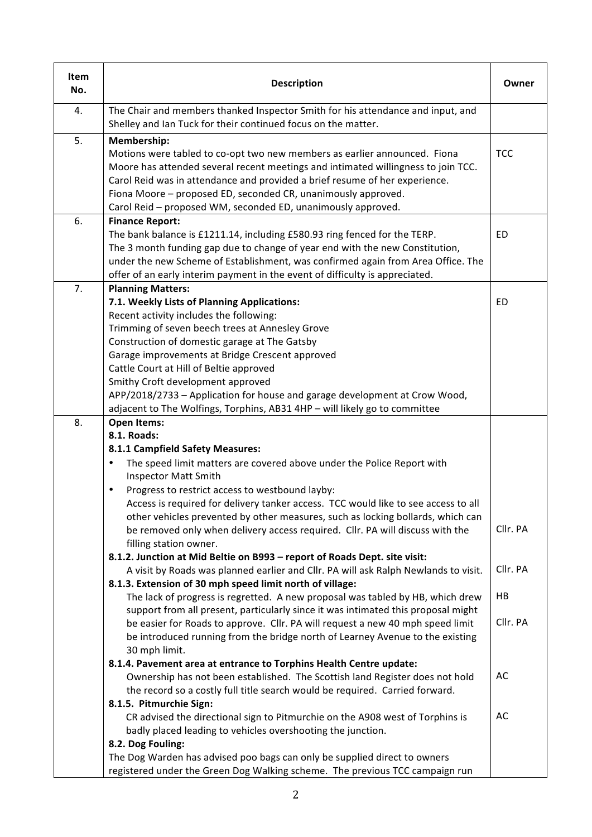| Item<br>No. | <b>Description</b>                                                                                                                                                                                                                                                                                                                                                                                                                                                                                                                                                                                                                                                                                                                                                                                                                                                                                                                                                                                                                                                                                                                                                                                                                                                                                                                                                                                                                                                                                                                             | Owner                                              |
|-------------|------------------------------------------------------------------------------------------------------------------------------------------------------------------------------------------------------------------------------------------------------------------------------------------------------------------------------------------------------------------------------------------------------------------------------------------------------------------------------------------------------------------------------------------------------------------------------------------------------------------------------------------------------------------------------------------------------------------------------------------------------------------------------------------------------------------------------------------------------------------------------------------------------------------------------------------------------------------------------------------------------------------------------------------------------------------------------------------------------------------------------------------------------------------------------------------------------------------------------------------------------------------------------------------------------------------------------------------------------------------------------------------------------------------------------------------------------------------------------------------------------------------------------------------------|----------------------------------------------------|
| 4.          | The Chair and members thanked Inspector Smith for his attendance and input, and<br>Shelley and Ian Tuck for their continued focus on the matter.                                                                                                                                                                                                                                                                                                                                                                                                                                                                                                                                                                                                                                                                                                                                                                                                                                                                                                                                                                                                                                                                                                                                                                                                                                                                                                                                                                                               |                                                    |
| 5.          | Membership:<br>Motions were tabled to co-opt two new members as earlier announced. Fiona<br>Moore has attended several recent meetings and intimated willingness to join TCC.<br>Carol Reid was in attendance and provided a brief resume of her experience.<br>Fiona Moore - proposed ED, seconded CR, unanimously approved.<br>Carol Reid - proposed WM, seconded ED, unanimously approved.                                                                                                                                                                                                                                                                                                                                                                                                                                                                                                                                                                                                                                                                                                                                                                                                                                                                                                                                                                                                                                                                                                                                                  | <b>TCC</b>                                         |
| 6.          | <b>Finance Report:</b><br>The bank balance is £1211.14, including £580.93 ring fenced for the TERP.<br>The 3 month funding gap due to change of year end with the new Constitution,<br>under the new Scheme of Establishment, was confirmed again from Area Office. The<br>offer of an early interim payment in the event of difficulty is appreciated.                                                                                                                                                                                                                                                                                                                                                                                                                                                                                                                                                                                                                                                                                                                                                                                                                                                                                                                                                                                                                                                                                                                                                                                        | ED                                                 |
| 7.          | <b>Planning Matters:</b><br>7.1. Weekly Lists of Planning Applications:<br>Recent activity includes the following:<br>Trimming of seven beech trees at Annesley Grove<br>Construction of domestic garage at The Gatsby<br>Garage improvements at Bridge Crescent approved<br>Cattle Court at Hill of Beltie approved<br>Smithy Croft development approved<br>APP/2018/2733 - Application for house and garage development at Crow Wood,<br>adjacent to The Wolfings, Torphins, AB31 4HP - will likely go to committee                                                                                                                                                                                                                                                                                                                                                                                                                                                                                                                                                                                                                                                                                                                                                                                                                                                                                                                                                                                                                          | ED                                                 |
| 8.          | <b>Open Items:</b><br>8.1. Roads:<br>8.1.1 Campfield Safety Measures:<br>The speed limit matters are covered above under the Police Report with<br><b>Inspector Matt Smith</b><br>Progress to restrict access to westbound layby:<br>$\bullet$<br>Access is required for delivery tanker access. TCC would like to see access to all<br>other vehicles prevented by other measures, such as locking bollards, which can<br>be removed only when delivery access required. Cllr. PA will discuss with the<br>filling station owner.<br>8.1.2. Junction at Mid Beltie on B993 - report of Roads Dept. site visit:<br>A visit by Roads was planned earlier and Cllr. PA will ask Ralph Newlands to visit.<br>8.1.3. Extension of 30 mph speed limit north of village:<br>The lack of progress is regretted. A new proposal was tabled by HB, which drew<br>support from all present, particularly since it was intimated this proposal might<br>be easier for Roads to approve. Cllr. PA will request a new 40 mph speed limit<br>be introduced running from the bridge north of Learney Avenue to the existing<br>30 mph limit.<br>8.1.4. Pavement area at entrance to Torphins Health Centre update:<br>Ownership has not been established. The Scottish land Register does not hold<br>the record so a costly full title search would be required. Carried forward.<br>8.1.5. Pitmurchie Sign:<br>CR advised the directional sign to Pitmurchie on the A908 west of Torphins is<br>badly placed leading to vehicles overshooting the junction. | Cllr. PA<br>Cllr. PA<br>HB<br>Cllr. PA<br>AC<br>AC |
|             | 8.2. Dog Fouling:<br>The Dog Warden has advised poo bags can only be supplied direct to owners<br>registered under the Green Dog Walking scheme. The previous TCC campaign run                                                                                                                                                                                                                                                                                                                                                                                                                                                                                                                                                                                                                                                                                                                                                                                                                                                                                                                                                                                                                                                                                                                                                                                                                                                                                                                                                                 |                                                    |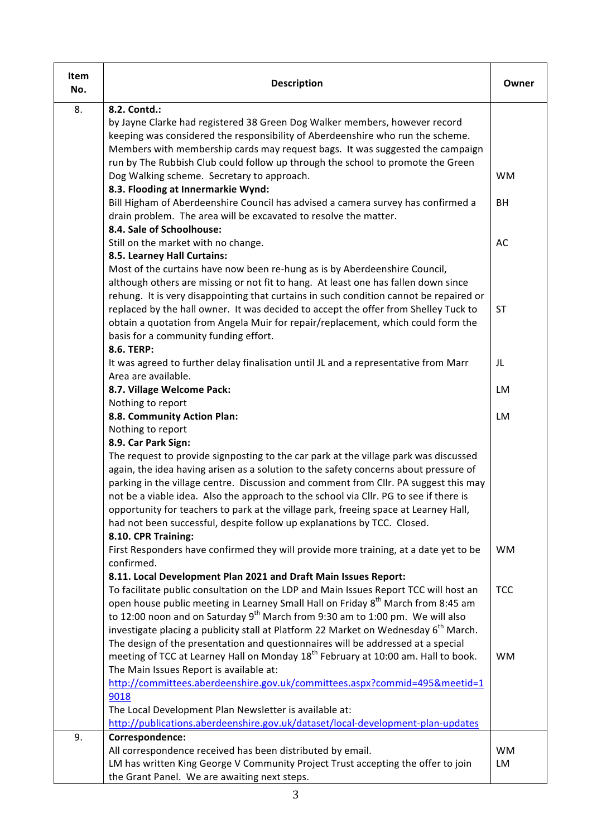| Item<br>No. | <b>Description</b>                                                                                                                                                                                                                                                                                                                                                                                                                                                                           | Owner           |
|-------------|----------------------------------------------------------------------------------------------------------------------------------------------------------------------------------------------------------------------------------------------------------------------------------------------------------------------------------------------------------------------------------------------------------------------------------------------------------------------------------------------|-----------------|
| 8.          | 8.2. Contd.:<br>by Jayne Clarke had registered 38 Green Dog Walker members, however record<br>keeping was considered the responsibility of Aberdeenshire who run the scheme.<br>Members with membership cards may request bags. It was suggested the campaign<br>run by The Rubbish Club could follow up through the school to promote the Green<br>Dog Walking scheme. Secretary to approach.<br>8.3. Flooding at Innermarkie Wynd:                                                         | <b>WM</b>       |
|             | Bill Higham of Aberdeenshire Council has advised a camera survey has confirmed a<br>drain problem. The area will be excavated to resolve the matter.<br>8.4. Sale of Schoolhouse:                                                                                                                                                                                                                                                                                                            | BH              |
|             | Still on the market with no change.<br>8.5. Learney Hall Curtains:                                                                                                                                                                                                                                                                                                                                                                                                                           | AC              |
|             | Most of the curtains have now been re-hung as is by Aberdeenshire Council,<br>although others are missing or not fit to hang. At least one has fallen down since<br>rehung. It is very disappointing that curtains in such condition cannot be repaired or<br>replaced by the hall owner. It was decided to accept the offer from Shelley Tuck to<br>obtain a quotation from Angela Muir for repair/replacement, which could form the<br>basis for a community funding effort.<br>8.6. TERP: | <b>ST</b>       |
|             | It was agreed to further delay finalisation until JL and a representative from Marr<br>Area are available.                                                                                                                                                                                                                                                                                                                                                                                   | JL              |
|             | 8.7. Village Welcome Pack:<br>Nothing to report                                                                                                                                                                                                                                                                                                                                                                                                                                              | LM              |
|             | 8.8. Community Action Plan:<br>Nothing to report<br>8.9. Car Park Sign:<br>The request to provide signposting to the car park at the village park was discussed                                                                                                                                                                                                                                                                                                                              | LM              |
|             | again, the idea having arisen as a solution to the safety concerns about pressure of<br>parking in the village centre. Discussion and comment from Cllr. PA suggest this may<br>not be a viable idea. Also the approach to the school via Cllr. PG to see if there is<br>opportunity for teachers to park at the village park, freeing space at Learney Hall,<br>had not been successful, despite follow up explanations by TCC. Closed.<br>8.10. CPR Training:                              |                 |
|             | First Responders have confirmed they will provide more training, at a date yet to be<br>confirmed.<br>8.11. Local Development Plan 2021 and Draft Main Issues Report:                                                                                                                                                                                                                                                                                                                        | <b>WM</b>       |
|             | To facilitate public consultation on the LDP and Main Issues Report TCC will host an<br>open house public meeting in Learney Small Hall on Friday 8 <sup>th</sup> March from 8:45 am<br>to 12:00 noon and on Saturday 9 <sup>th</sup> March from 9:30 am to 1:00 pm. We will also<br>investigate placing a publicity stall at Platform 22 Market on Wednesday 6 <sup>th</sup> March.<br>The design of the presentation and questionnaires will be addressed at a special                     | <b>TCC</b>      |
|             | meeting of TCC at Learney Hall on Monday 18 <sup>th</sup> February at 10:00 am. Hall to book.<br>The Main Issues Report is available at:<br>http://committees.aberdeenshire.gov.uk/committees.aspx?commid=495&meetid=1<br>9018<br>The Local Development Plan Newsletter is available at:<br>http://publications.aberdeenshire.gov.uk/dataset/local-development-plan-updates                                                                                                                  | <b>WM</b>       |
| 9.          | Correspondence:<br>All correspondence received has been distributed by email.<br>LM has written King George V Community Project Trust accepting the offer to join<br>the Grant Panel. We are awaiting next steps.                                                                                                                                                                                                                                                                            | <b>WM</b><br>LM |